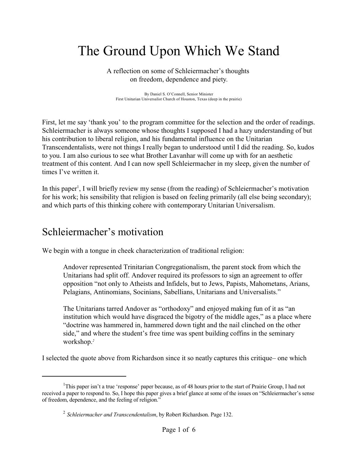## The Ground Upon Which We Stand

A reflection on some of Schleiermacher's thoughts on freedom, dependence and piety.

By Daniel S. O'Connell, Senior Minister First Unitarian Universalist Church of Houston, Texas (deep in the prairie)

First, let me say 'thank you' to the program committee for the selection and the order of readings. Schleiermacher is always someone whose thoughts I supposed I had a hazy understanding of but his contribution to liberal religion, and his fundamental influence on the Unitarian Transcendentalists, were not things I really began to understood until I did the reading. So, kudos to you. I am also curious to see what Brother Lavanhar will come up with for an aesthetic treatment of this content. And I can now spell Schleiermacher in my sleep, given the number of times I've written it.

In this paper<sup>1</sup>, I will briefly review my sense (from the reading) of Schleiermacher's motivation for his work; his sensibility that religion is based on feeling primarily (all else being secondary); and which parts of this thinking cohere with contemporary Unitarian Universalism.

## Schleiermacher's motivation

We begin with a tongue in cheek characterization of traditional religion:

Andover represented Trinitarian Congregationalism, the parent stock from which the Unitarians had split off. Andover required its professors to sign an agreement to offer opposition "not only to Atheists and Infidels, but to Jews, Papists, Mahometans, Arians, Pelagians, Antinomians, Socinians, Sabellians, Unitarians and Universalists."

The Unitarians tarred Andover as "orthodoxy" and enjoyed making fun of it as "an institution which would have disgraced the bigotry of the middle ages," as a place where "doctrine was hammered in, hammered down tight and the nail clinched on the other side," and where the student's free time was spent building coffins in the seminary workshop.*<sup>2</sup>*

I selected the quote above from Richardson since it so neatly captures this critique– one which

<sup>&</sup>lt;sup>1</sup>This paper isn't a true 'response' paper because, as of 48 hours prior to the start of Prairie Group, I had not received a paper to respond to. So, I hope this paper gives a brief glance at some of the issues on "Schleiermacher's sense of freedom, dependence, and the feeling of religion."

<sup>2</sup> *Schleiermacher and Transcendentalism*, by Robert Richardson. Page 132.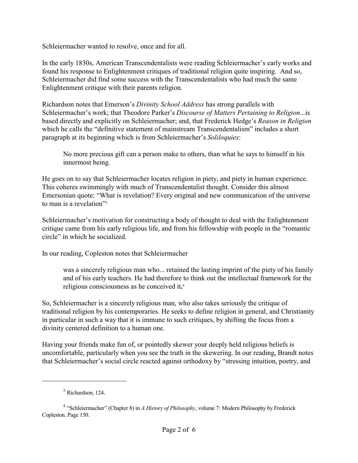Schleiermacher wanted to resolve, once and for all.

In the early 1830s, American Transcendentalists were reading Schleiermacher's early works and found his response to Enlightenment critiques of traditional religion quite inspiring. And so, Schleiermacher did find some success with the Transcendentalists who had much the same Enlightenment critique with their parents religion.

Richardson notes that Emerson's *Divinity School Address* has strong parallels with Schleiermacher's work; that Theodore Parker's *Discourse of Matters Pertaining to Religion*...is based directly and explicitly on Schleiermacher; and, that Frederick Hedge's *Reason in Religion* which he calls the "definitive statement of mainstream Transcendentalism" includes a short paragraph at its beginning which is from Schleiermacher's *Soliloquies*:

No more precious gift can a person make to others, than what he says to himself in his innermost being.

He goes on to say that Schleiermacher locates religion in piety, and piety in human experience. This coheres swimmingly with much of Transcendentalist thought. Consider this almost Emersonian quote: "What is revelation? Every original and new communication of the universe to man is a revelation"<sup>3</sup>

Schleiermacher's motivation for constructing a body of thought to deal with the Enlightenment critique came from his early religious life, and from his fellowship with people in the "romantic circle" in which he socialized.

In our reading, Copleston notes that Schleiermacher

was a sincerely religious man who... retained the lasting imprint of the piety of his family and of his early teachers. He had therefore to think out the intellectual framework for the religious consciousness as he conceived it**.** 4

So, Schleiermacher is a sincerely religious man, who also takes seriously the critique of traditional religion by his contemporaries. He seeks to define religion in general, and Christianity in particular in such a way that it is immune to such critiques, by shifting the focus from a divinity centered definition to a human one.

Having your friends make fun of, or pointedly skewer your deeply held religious beliefs is uncomfortable, particularly when you see the truth in the skewering. In our reading, Brandt notes that Schleiermacher's social circle reacted against orthodoxy by "stressing intuition, poetry, and

 $3$  Richardson, 124.

<sup>4</sup> "Schleiermacher" (Chapter 8) in *A History of Philosophy*, volume 7: Modern Philosophy by Frederick Copleston. Page 150.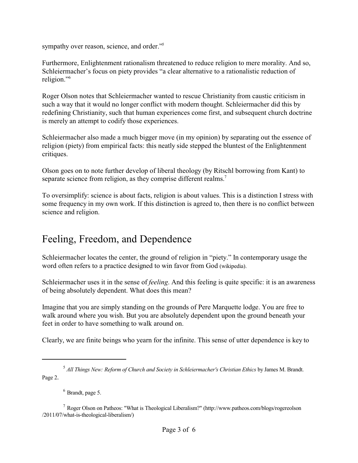sympathy over reason, science, and order."<sup>5</sup>

Furthermore, Enlightenment rationalism threatened to reduce religion to mere morality. And so, Schleiermacher's focus on piety provides "a clear alternative to a rationalistic reduction of religion."<sup>6</sup>

Roger Olson notes that Schleiermacher wanted to rescue Christianity from caustic criticism in such a way that it would no longer conflict with modern thought. Schleiermacher did this by redefining Christianity, such that human experiences come first, and subsequent church doctrine is merely an attempt to codify those experiences.

Schleiermacher also made a much bigger move (in my opinion) by separating out the essence of religion (piety) from empirical facts: this neatly side stepped the bluntest of the Enlightenment critiques.

Olson goes on to note further develop of liberal theology (by Ritschl borrowing from Kant) to separate science from religion, as they comprise different realms.<sup>7</sup>

To oversimplify: science is about facts, religion is about values. This is a distinction I stress with some frequency in my own work. If this distinction is agreed to, then there is no conflict between science and religion.

## Feeling, Freedom, and Dependence

Schleiermacher locates the center, the ground of religion in "piety." In contemporary usage the word often refers to a practice designed to win favor from God (wikipedia).

Schleiermacher uses it in the sense of *feeling*. And this feeling is quite specific: it is an awareness of being absolutely dependent. What does this mean?

Imagine that you are simply standing on the grounds of Pere Marquette lodge. You are free to walk around where you wish. But you are absolutely dependent upon the ground beneath your feet in order to have something to walk around on.

Clearly, we are finite beings who yearn for the infinite. This sense of utter dependence is key to

 $6$  Brandt, page 5.

<sup>5</sup> *All Things New: Reform of Church and Society in Schleiermacher's Christian Ethics* by James M. Brandt. Page 2.

<sup>7</sup> Roger Olson on Patheos: "What is Theological Liberalism?" (http://www.patheos.com/blogs/rogereolson /2011/07/what-is-theological-liberalism/)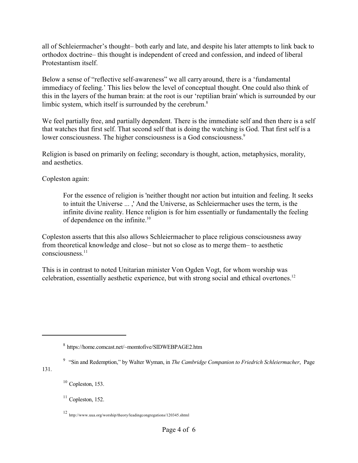all of Schleiermacher's thought– both early and late, and despite his later attempts to link back to orthodox doctrine– this thought is independent of creed and confession, and indeed of liberal Protestantism itself.

Below a sense of "reflective self-awareness" we all carry around, there is a 'fundamental immediacy of feeling.' This lies below the level of conceptual thought. One could also think of this in the layers of the human brain: at the root is our 'reptilian brain' which is surrounded by our limbic system, which itself is surrounded by the cerebrum.<sup>8</sup>

We feel partially free, and partially dependent. There is the immediate self and then there is a self that watches that first self. That second self that is doing the watching is God. That first self is a lower consciousness. The higher consciousness is a God consciousness.<sup>9</sup>

Religion is based on primarily on feeling; secondary is thought, action, metaphysics, morality, and aesthetics.

Copleston again:

For the essence of religion is 'neither thought nor action but intuition and feeling. It seeks to intuit the Universe ... ,' And the Universe, as Schleiermacher uses the term, is the infinite divine reality. Hence religion is for him essentially or fundamentally the feeling of dependence on the infinite.<sup>10</sup>

Copleston asserts that this also allows Schleiermacher to place religious consciousness away from theoretical knowledge and close– but not so close as to merge them– to aesthetic consciousness.<sup>11</sup>

This is in contrast to noted Unitarian minister Von Ogden Vogt, for whom worship was celebration, essentially aesthetic experience, but with strong social and ethical overtones.<sup>12</sup>

9 "Sin and Redemption," by Walter Wyman, in *The Cambridge Companion to Friedrich Schleiermacher*, Page

131.

<sup>8</sup> https://home.comcast.net/~momtofive/SIDWEBPAGE2.htm

 $10$  Copleston, 153.

 $11$  Copleston, 152.

<sup>12</sup> http://www.uua.org/worship/theory/leadingcongregations/120345.shtml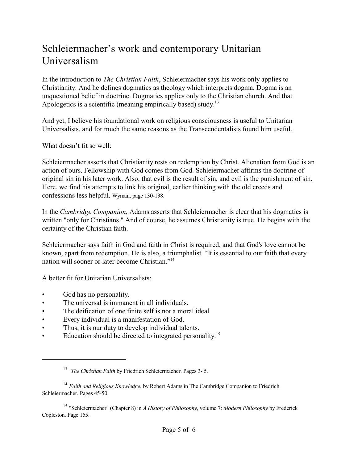## Schleiermacher's work and contemporary Unitarian Universalism

In the introduction to *The Christian Faith*, Schleiermacher says his work only applies to Christianity. And he defines dogmatics as theology which interprets dogma. Dogma is an unquestioned belief in doctrine. Dogmatics applies only to the Christian church. And that Apologetics is a scientific (meaning empirically based) study.<sup>13</sup>

And yet, I believe his foundational work on religious consciousness is useful to Unitarian Universalists, and for much the same reasons as the Transcendentalists found him useful.

What doesn't fit so well:

Schleiermacher asserts that Christianity rests on redemption by Christ. Alienation from God is an action of ours. Fellowship with God comes from God. Schleiermacher affirms the doctrine of original sin in his later work. Also, that evil is the result of sin, and evil is the punishment of sin. Here, we find his attempts to link his original, earlier thinking with the old creeds and confessions less helpful. Wyman, page 130-138.

In the *Cambridge Companion*, Adams asserts that Schleiermacher is clear that his dogmatics is written "only for Christians." And of course, he assumes Christianity is true. He begins with the certainty of the Christian faith.

Schleiermacher says faith in God and faith in Christ is required, and that God's love cannot be known, apart from redemption. He is also, a triumphalist. "It is essential to our faith that every nation will sooner or later become Christian."<sup>14</sup>

A better fit for Unitarian Universalists:

- God has no personality.
- The universal is immanent in all individuals.
- The deification of one finite self is not a moral ideal
- Every individual is a manifestation of God.
- Thus, it is our duty to develop individual talents.
- Education should be directed to integrated personality.<sup>15</sup>

15 "Schleiermacher" (Chapter 8) in *A History of Philosophy*, volume 7: *Modern Philosophy* by Frederick Copleston. Page 155.

<sup>13</sup> *The Christian Faith* by Friedrich Schleiermacher. Pages 3- 5.

<sup>14</sup> *Faith and Religious Knowledge*, by Robert Adams in The Cambridge Companion to Friedrich Schleiermacher. Pages 45-50.